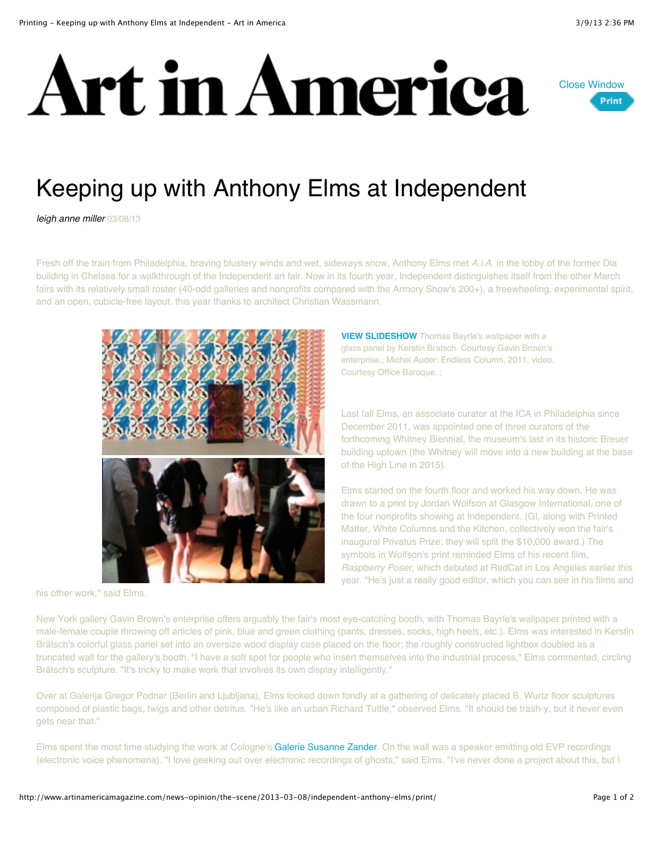



## Keeping up with Anthony Elms at Independent

*leigh anne miller* 03/08/13

Fresh off the train from Philadelphia, braving blustery winds and wet, sideways snow, Anthony Elms met *A.i.A.* in the lobby of the former Dia building in Chelsea for a walkthrough of the Independent art fair. Now in its fourth year, Independent distinguishes itself from the other March fairs with its relatively small roster (40-odd galleries and nonprofits compared with the Armory Show's 200+), a freewheeling, experimental spirit, and an open, cubicle-free layout, this year thanks to architect Christian Wassmann.



his other work," said Elms.

**[VIEW SLIDESHOW](http://www.artinamericamagazine.com/templates/view_media.php?id=19853&type=301&KeepThis=true&TB_iframe=true&height=514&width=917)** Thomas Bayrle's wallpaper with a glass panel by Kerstin Bratsch. Courtesy Gavin Brown's enterprise.; Michel Auder: Endless Column, 2011, video. Courtesy Office Baroque. ;

Last fall Elms, an associate curator at the ICA in Philadelphia since December 2011, was appointed one of three curators of the forthcoming Whitney Biennial, the museum's last in its historic Breuer building uptown (the Whitney will move into a new building at the base of the High Line in 2015).

Elms started on the fourth floor and worked his way down. He was drawn to a print by Jordan Wolfson at Glasgow International, one of the four nonprofits showing at Independent. (GI, along with Printed Matter, White Columns and the Kitchen, collectively won the fair's inaugural Privatus Prize; they will split the \$10,000 award.) The symbols in Wolfson's print reminded Elms of his recent film, *Raspberry Poser*, which debuted at RedCat in Los Angeles earlier this year. "He's just a really good editor, which you can see in his films and

New York gallery Gavin Brown's enterprise offers arguably the fair's most eye-catching booth, with Thomas Bayrle's wallpaper printed with a male-female couple throwing off articles of pink, blue and green clothing (pants, dresses, socks, high heels, etc.). Elms was interested in Kerstin Brätsch's colorful glass panel set into an oversize wood display case placed on the floor; the roughly constructed lightbox doubled as a truncated wall for the gallery's booth. "I have a soft spot for people who insert themselves into the industrial process," Elms commented, circling Brätsch's sculpture. "It's tricky to make work that involves its own display intelligently."

Over at Galerija Gregor Podnar (Berlin and Ljubljana), Elms looked down fondly at a gathering of delicately placed B. Wurtz floor sculptures composed of plastic bags, twigs and other detritus. "He's like an urban Richard Tuttle," observed Elms. "It should be trash-y, but it never even gets near that."

Elms spent the most time studying the work at Cologne's [Galerie Susanne Zander](http://galerie-susanne-zander.com/). On the wall was a speaker emitting old EVP recordings (electronic voice phenomena). "I love geeking out over electronic recordings of ghosts," said Elms. "I've never done a project about this, but I